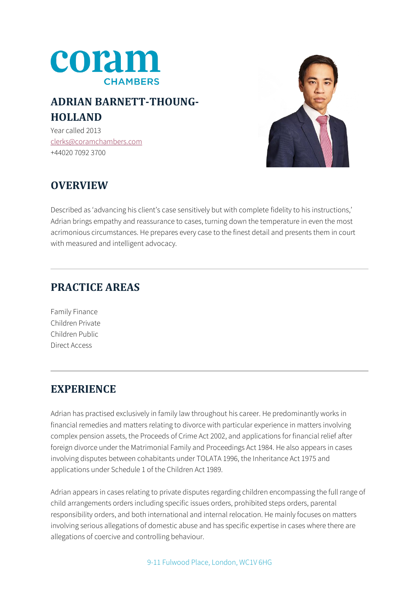

# **ADRIAN BARNETT-THOUNG-HOLLAND**

Year called 2013 [clerks@coramchambers.com](mailto:clerks@coramchambers.com) +44020 7092 3700



# **OVERVIEW**

Described as 'advancing his client's case sensitively but with complete fidelity to his instructions,' Adrian brings empathy and reassurance to cases, turning down the temperature in even the most acrimonious circumstances. He prepares every case to the finest detail and presents them in court with measured and intelligent advocacy.

# **PRACTICE AREAS**

Family Finance Children Private Children Public Direct Access

## **EXPERIENCE**

Adrian has practised exclusively in family law throughout his career. He predominantly works in financial remedies and matters relating to divorce with particular experience in matters involving complex pension assets, the Proceeds of Crime Act 2002, and applications for financial relief after foreign divorce under the Matrimonial Family and Proceedings Act 1984. He also appears in cases involving disputes between cohabitants under TOLATA 1996, the Inheritance Act 1975 and applications under Schedule 1 of the Children Act 1989.

Adrian appears in cases relating to private disputes regarding children encompassing the full range of child arrangements orders including specific issues orders, prohibited steps orders, parental responsibility orders, and both international and internal relocation. He mainly focuses on matters involving serious allegations of domestic abuse and has specific expertise in cases where there are allegations of coercive and controlling behaviour.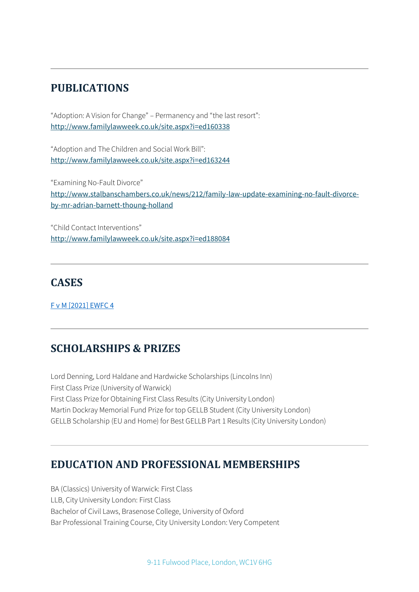#### **PUBLICATIONS**

"Adoption: A Vision for Change" – Permanency and "the last resort": <http://www.familylawweek.co.uk/site.aspx?i=ed160338>

"Adoption and The Children and Social Work Bill": <http://www.familylawweek.co.uk/site.aspx?i=ed163244>

"Examining No-Fault Divorce" [http://www.stalbanschambers.co.uk/news/212/family-law-update-examining-no-fault-divorce](http://www.stalbanschambers.co.uk/news/212/family-law-update-examining-no-fault-divorce-by-mr-adrian-barnett-thoung-holland)[by-mr-adrian-barnett-thoung-holland](http://www.stalbanschambers.co.uk/news/212/family-law-update-examining-no-fault-divorce-by-mr-adrian-barnett-thoung-holland)

"Child Contact Interventions" <http://www.familylawweek.co.uk/site.aspx?i=ed188084>

#### **CASES**

[F v M \[2021\] EWFC 4](https://www.bailii.org/ew/cases/EWFC/HCJ/2021/4.html)

## **SCHOLARSHIPS & PRIZES**

Lord Denning, Lord Haldane and Hardwicke Scholarships (Lincolns Inn) First Class Prize (University of Warwick) First Class Prize for Obtaining First Class Results (City University London) Martin Dockray Memorial Fund Prize for top GELLB Student (City University London) GELLB Scholarship (EU and Home) for Best GELLB Part 1 Results (City University London)

#### **EDUCATION AND PROFESSIONAL MEMBERSHIPS**

BA (Classics) University of Warwick: First Class LLB, City University London: First Class Bachelor of Civil Laws, Brasenose College, University of Oxford Bar Professional Training Course, City University London: Very Competent